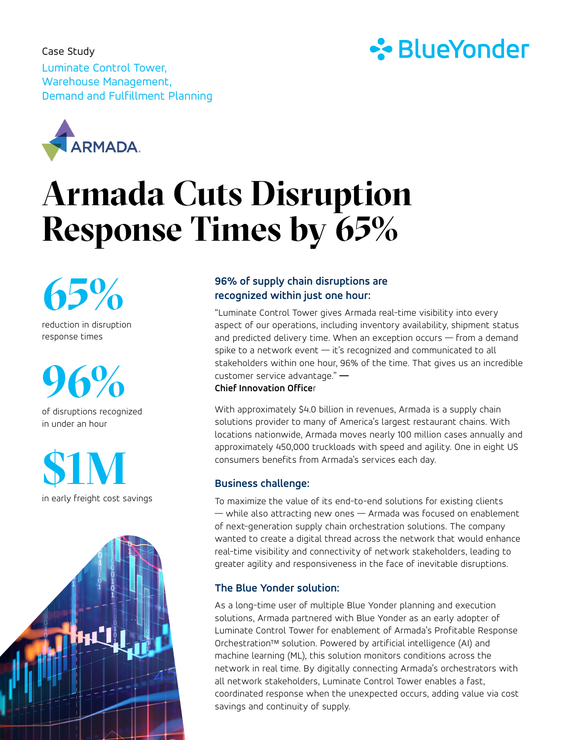Luminate Control Tower, Warehouse Management, Demand and Fulfillment Planning Case Study





# **Armada Cuts Disruption Response Times by 65%**

**65%** 

reduction in disruption response times



of disruptions recognized in under an hour

**\$1M** in early freight cost savings



## **96% of supply chain disruptions are recognized within just one hour:**

"Luminate Control Tower gives Armada real-time visibility into every aspect of our operations, including inventory availability, shipment status and predicted delivery time. When an exception occurs — from a demand spike to a network event  $-$  it's recognized and communicated to all stakeholders within one hour, 96% of the time. That gives us an incredible customer service advantage." **—** 

### **Chief Innovation Office**r

With approximately \$4.0 billion in revenues, Armada is a supply chain solutions provider to many of America's largest restaurant chains. With locations nationwide, Armada moves nearly 100 million cases annually and approximately 450,000 truckloads with speed and agility. One in eight US consumers benefits from Armada's services each day.

### **Business challenge:**

To maximize the value of its end-to-end solutions for existing clients — while also attracting new ones — Armada was focused on enablement of next-generation supply chain orchestration solutions. The company wanted to create a digital thread across the network that would enhance real-time visibility and connectivity of network stakeholders, leading to greater agility and responsiveness in the face of inevitable disruptions.

# **The Blue Yonder solution:**

As a long-time user of multiple Blue Yonder planning and execution solutions, Armada partnered with Blue Yonder as an early adopter of Luminate Control Tower for enablement of Armada's Profitable Response Orchestration™ solution. Powered by artificial intelligence (AI) and machine learning (ML), this solution monitors conditions across the network in real time. By digitally connecting Armada's orchestrators with all network stakeholders, Luminate Control Tower enables a fast, coordinated response when the unexpected occurs, adding value via cost savings and continuity of supply.